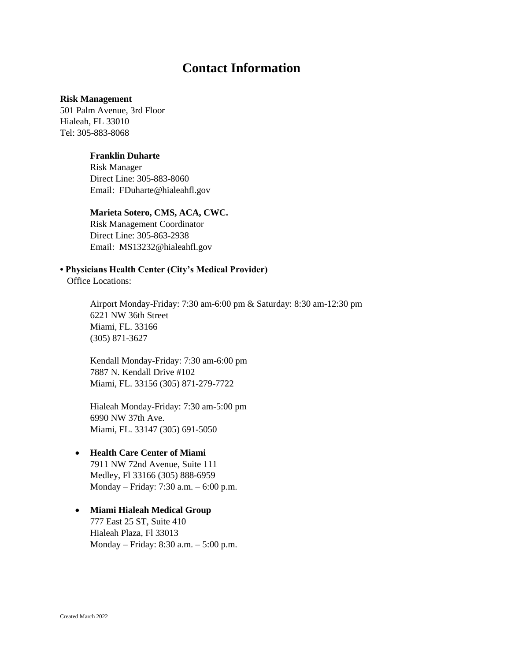# **Contact Information**

#### **Risk Management**

501 Palm Avenue, 3rd Floor Hialeah, FL 33010 Tel: 305-883-8068

# **Franklin Duharte**

Risk Manager Direct Line: 305-883-8060 Email: FDuharte@hialeahfl.gov

#### **Marieta Sotero, CMS, ACA, CWC.**

Risk Management Coordinator Direct Line: 305-863-2938 Email: MS13232@hialeahfl.gov

# **• Physicians Health Center (City's Medical Provider)**

Office Locations:

Airport Monday-Friday: 7:30 am-6:00 pm & Saturday: 8:30 am-12:30 pm 6221 NW 36th Street Miami, FL. 33166 (305) 871-3627

Kendall Monday-Friday: 7:30 am-6:00 pm 7887 N. Kendall Drive #102 Miami, FL. 33156 (305) 871-279-7722

Hialeah Monday-Friday: 7:30 am-5:00 pm 6990 NW 37th Ave. Miami, FL. 33147 (305) 691-5050

# • **Health Care Center of Miami**

7911 NW 72nd Avenue, Suite 111 Medley, Fl 33166 (305) 888-6959 Monday – Friday: 7:30 a.m. – 6:00 p.m.

• **Miami Hialeah Medical Group**  777 East 25 ST, Suite 410 Hialeah Plaza, Fl 33013 Monday – Friday: 8:30 a.m. – 5:00 p.m.